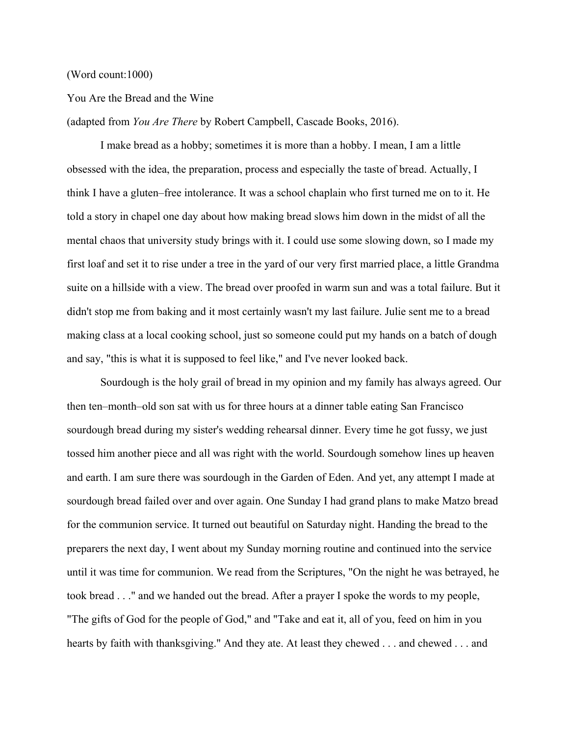## (Word count:1000)

## You Are the Bread and the Wine

(adapted from *You Are There* by Robert Campbell, Cascade Books, 2016).

I make bread as a hobby; sometimes it is more than a hobby. I mean, I am a little obsessed with the idea, the preparation, process and especially the taste of bread. Actually, I think I have a gluten–free intolerance. It was a school chaplain who first turned me on to it. He told a story in chapel one day about how making bread slows him down in the midst of all the mental chaos that university study brings with it. I could use some slowing down, so I made my first loaf and set it to rise under a tree in the yard of our very first married place, a little Grandma suite on a hillside with a view. The bread over proofed in warm sun and was a total failure. But it didn't stop me from baking and it most certainly wasn't my last failure. Julie sent me to a bread making class at a local cooking school, just so someone could put my hands on a batch of dough and say, "this is what it is supposed to feel like," and I've never looked back.

Sourdough is the holy grail of bread in my opinion and my family has always agreed. Our then ten–month–old son sat with us for three hours at a dinner table eating San Francisco sourdough bread during my sister's wedding rehearsal dinner. Every time he got fussy, we just tossed him another piece and all was right with the world. Sourdough somehow lines up heaven and earth. I am sure there was sourdough in the Garden of Eden. And yet, any attempt I made at sourdough bread failed over and over again. One Sunday I had grand plans to make Matzo bread for the communion service. It turned out beautiful on Saturday night. Handing the bread to the preparers the next day, I went about my Sunday morning routine and continued into the service until it was time for communion. We read from the Scriptures, "On the night he was betrayed, he took bread . . ." and we handed out the bread. After a prayer I spoke the words to my people, "The gifts of God for the people of God," and "Take and eat it, all of you, feed on him in you hearts by faith with thanksgiving." And they ate. At least they chewed . . . and chewed . . . and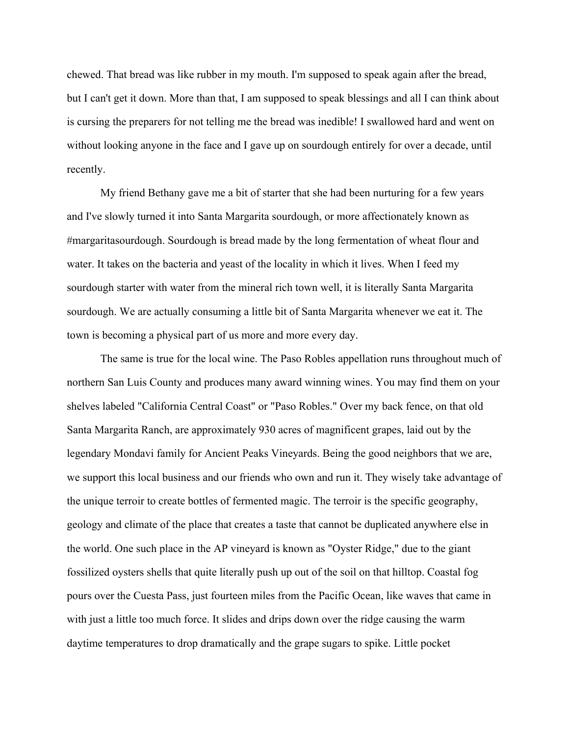chewed. That bread was like rubber in my mouth. I'm supposed to speak again after the bread, but I can't get it down. More than that, I am supposed to speak blessings and all I can think about is cursing the preparers for not telling me the bread was inedible! I swallowed hard and went on without looking anyone in the face and I gave up on sourdough entirely for over a decade, until recently.

My friend Bethany gave me a bit of starter that she had been nurturing for a few years and I've slowly turned it into Santa Margarita sourdough, or more affectionately known as #margaritasourdough. Sourdough is bread made by the long fermentation of wheat flour and water. It takes on the bacteria and yeast of the locality in which it lives. When I feed my sourdough starter with water from the mineral rich town well, it is literally Santa Margarita sourdough. We are actually consuming a little bit of Santa Margarita whenever we eat it. The town is becoming a physical part of us more and more every day.

The same is true for the local wine. The Paso Robles appellation runs throughout much of northern San Luis County and produces many award winning wines. You may find them on your shelves labeled "California Central Coast" or "Paso Robles." Over my back fence, on that old Santa Margarita Ranch, are approximately 930 acres of magnificent grapes, laid out by the legendary Mondavi family for Ancient Peaks Vineyards. Being the good neighbors that we are, we support this local business and our friends who own and run it. They wisely take advantage of the unique terroir to create bottles of fermented magic. The terroir is the specific geography, geology and climate of the place that creates a taste that cannot be duplicated anywhere else in the world. One such place in the AP vineyard is known as "Oyster Ridge," due to the giant fossilized oysters shells that quite literally push up out of the soil on that hilltop. Coastal fog pours over the Cuesta Pass, just fourteen miles from the Pacific Ocean, like waves that came in with just a little too much force. It slides and drips down over the ridge causing the warm daytime temperatures to drop dramatically and the grape sugars to spike. Little pocket